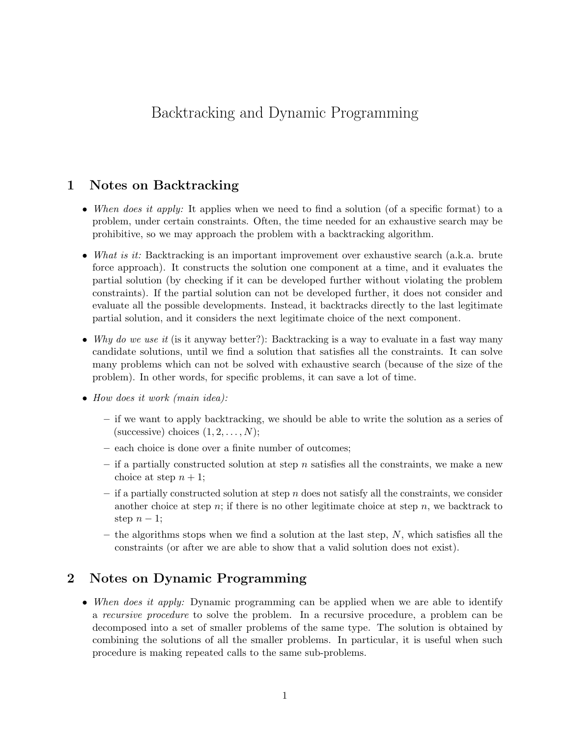# Backtracking and Dynamic Programming

## 1 Notes on Backtracking

- When does it apply: It applies when we need to find a solution (of a specific format) to a problem, under certain constraints. Often, the time needed for an exhaustive search may be prohibitive, so we may approach the problem with a backtracking algorithm.
- What is it: Backtracking is an important improvement over exhaustive search (a.k.a. brute force approach). It constructs the solution one component at a time, and it evaluates the partial solution (by checking if it can be developed further without violating the problem constraints). If the partial solution can not be developed further, it does not consider and evaluate all the possible developments. Instead, it backtracks directly to the last legitimate partial solution, and it considers the next legitimate choice of the next component.
- Why do we use it (is it anyway better?): Backtracking is a way to evaluate in a fast way many candidate solutions, until we find a solution that satisfies all the constraints. It can solve many problems which can not be solved with exhaustive search (because of the size of the problem). In other words, for specific problems, it can save a lot of time.
- How does it work (main idea):
	- if we want to apply backtracking, we should be able to write the solution as a series of (successive) choices  $(1, 2, \ldots, N)$ ;
	- each choice is done over a finite number of outcomes;
	- if a partially constructed solution at step n satisfies all the constraints, we make a new choice at step  $n + 1$ ;
	- $-$  if a partially constructed solution at step n does not satisfy all the constraints, we consider another choice at step n; if there is no other legitimate choice at step n, we backtrack to step  $n-1$ ;
	- the algorithms stops when we find a solution at the last step,  $N$ , which satisfies all the constraints (or after we are able to show that a valid solution does not exist).

## 2 Notes on Dynamic Programming

• When does it apply: Dynamic programming can be applied when we are able to identify a recursive procedure to solve the problem. In a recursive procedure, a problem can be decomposed into a set of smaller problems of the same type. The solution is obtained by combining the solutions of all the smaller problems. In particular, it is useful when such procedure is making repeated calls to the same sub-problems.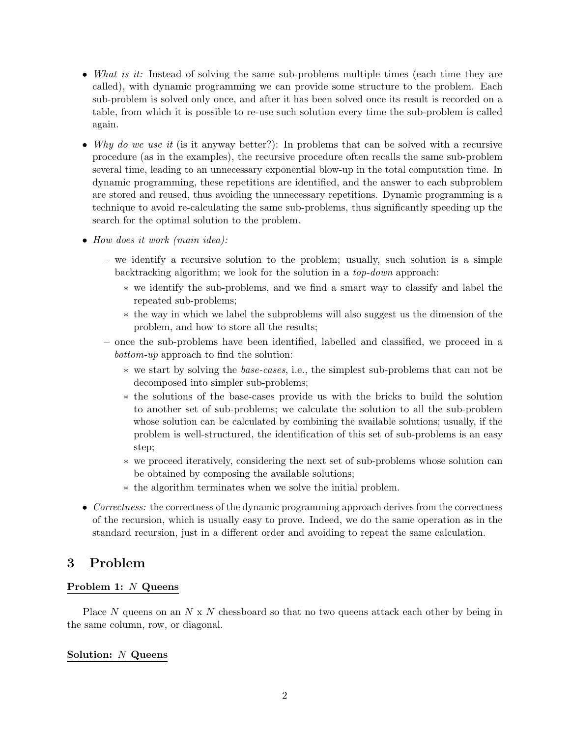- What is it: Instead of solving the same sub-problems multiple times (each time they are called), with dynamic programming we can provide some structure to the problem. Each sub-problem is solved only once, and after it has been solved once its result is recorded on a table, from which it is possible to re-use such solution every time the sub-problem is called again.
- Why do we use it (is it anyway better?): In problems that can be solved with a recursive procedure (as in the examples), the recursive procedure often recalls the same sub-problem several time, leading to an unnecessary exponential blow-up in the total computation time. In dynamic programming, these repetitions are identified, and the answer to each subproblem are stored and reused, thus avoiding the unnecessary repetitions. Dynamic programming is a technique to avoid re-calculating the same sub-problems, thus significantly speeding up the search for the optimal solution to the problem.
- How does it work (main idea):
	- we identify a recursive solution to the problem; usually, such solution is a simple backtracking algorithm; we look for the solution in a top-down approach:
		- ∗ we identify the sub-problems, and we find a smart way to classify and label the repeated sub-problems;
		- ∗ the way in which we label the subproblems will also suggest us the dimension of the problem, and how to store all the results;
	- once the sub-problems have been identified, labelled and classified, we proceed in a bottom-up approach to find the solution:
		- ∗ we start by solving the base-cases, i.e., the simplest sub-problems that can not be decomposed into simpler sub-problems;
		- ∗ the solutions of the base-cases provide us with the bricks to build the solution to another set of sub-problems; we calculate the solution to all the sub-problem whose solution can be calculated by combining the available solutions; usually, if the problem is well-structured, the identification of this set of sub-problems is an easy step;
		- ∗ we proceed iteratively, considering the next set of sub-problems whose solution can be obtained by composing the available solutions;
		- ∗ the algorithm terminates when we solve the initial problem.
- Correctness: the correctness of the dynamic programming approach derives from the correctness of the recursion, which is usually easy to prove. Indeed, we do the same operation as in the standard recursion, just in a different order and avoiding to repeat the same calculation.

## 3 Problem

### Problem 1: N Queens

Place N queens on an  $N \times N$  chessboard so that no two queens attack each other by being in the same column, row, or diagonal.

### Solution: N Queens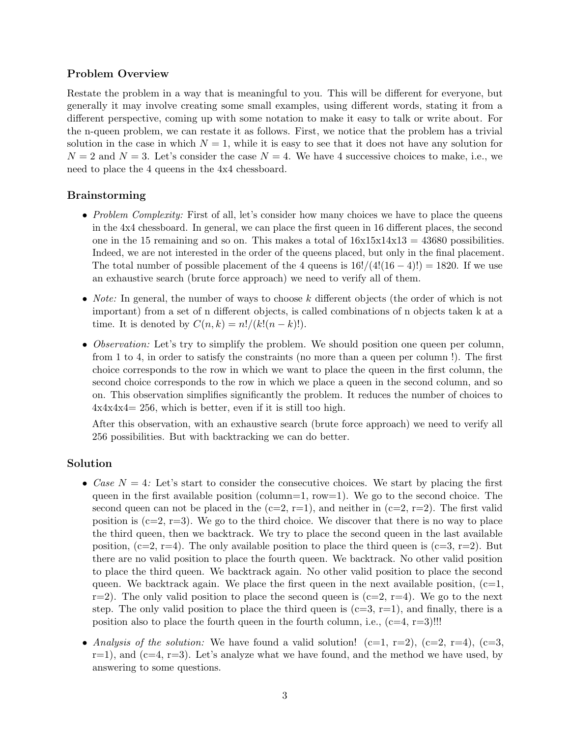### Problem Overview

Restate the problem in a way that is meaningful to you. This will be different for everyone, but generally it may involve creating some small examples, using different words, stating it from a different perspective, coming up with some notation to make it easy to talk or write about. For the n-queen problem, we can restate it as follows. First, we notice that the problem has a trivial solution in the case in which  $N = 1$ , while it is easy to see that it does not have any solution for  $N = 2$  and  $N = 3$ . Let's consider the case  $N = 4$ . We have 4 successive choices to make, i.e., we need to place the 4 queens in the 4x4 chessboard.

### Brainstorming

- Problem Complexity: First of all, let's consider how many choices we have to place the queens in the 4x4 chessboard. In general, we can place the first queen in 16 different places, the second one in the 15 remaining and so on. This makes a total of  $16x15x14x13 = 43680$  possibilities. Indeed, we are not interested in the order of the queens placed, but only in the final placement. The total number of possible placement of the 4 queens is  $16!/(4!(16-4)!) = 1820$ . If we use an exhaustive search (brute force approach) we need to verify all of them.
- Note: In general, the number of ways to choose  $k$  different objects (the order of which is not important) from a set of n different objects, is called combinations of n objects taken k at a time. It is denoted by  $C(n, k) = n!/(k!(n-k)!).$
- Observation: Let's try to simplify the problem. We should position one queen per column, from 1 to 4, in order to satisfy the constraints (no more than a queen per column !). The first choice corresponds to the row in which we want to place the queen in the first column, the second choice corresponds to the row in which we place a queen in the second column, and so on. This observation simplifies significantly the problem. It reduces the number of choices to  $4x4x4x4= 256$ , which is better, even if it is still too high.

After this observation, with an exhaustive search (brute force approach) we need to verify all 256 possibilities. But with backtracking we can do better.

### Solution

- Case  $N = 4$ : Let's start to consider the consecutive choices. We start by placing the first queen in the first available position (column=1,  $row=1$ ). We go to the second choice. The second queen can not be placed in the  $(c=2, r=1)$ , and neither in  $(c=2, r=2)$ . The first valid position is  $(c=2, r=3)$ . We go to the third choice. We discover that there is no way to place the third queen, then we backtrack. We try to place the second queen in the last available position,  $(c=2, r=4)$ . The only available position to place the third queen is  $(c=3, r=2)$ . But there are no valid position to place the fourth queen. We backtrack. No other valid position to place the third queen. We backtrack again. No other valid position to place the second queen. We backtrack again. We place the first queen in the next available position,  $(c=1,$  $r=2$ ). The only valid position to place the second queen is  $(c=2, r=4)$ . We go to the next step. The only valid position to place the third queen is  $(c=3, r=1)$ , and finally, there is a position also to place the fourth queen in the fourth column, i.e.,  $(c=4, r=3)$ !!!
- Analysis of the solution: We have found a valid solution!  $(c=1, r=2)$ ,  $(c=2, r=4)$ ,  $(c=3, r=4)$  $r=1$ , and  $(c=4, r=3)$ . Let's analyze what we have found, and the method we have used, by answering to some questions.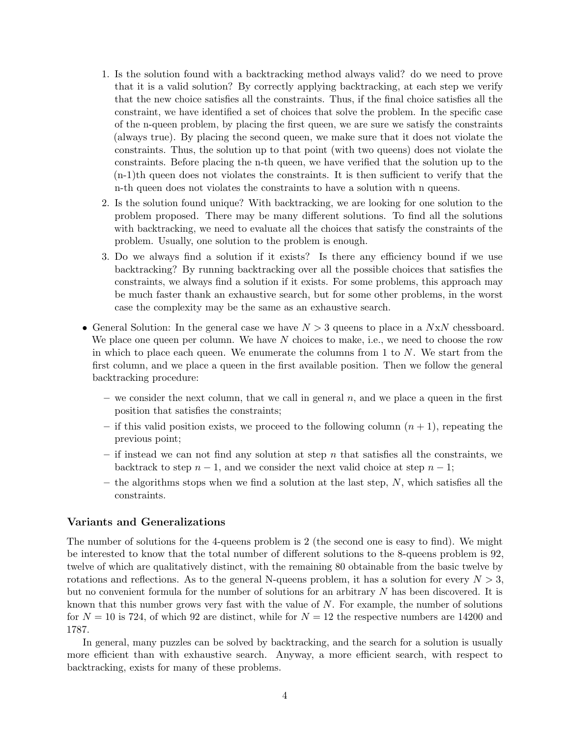- 1. Is the solution found with a backtracking method always valid? do we need to prove that it is a valid solution? By correctly applying backtracking, at each step we verify that the new choice satisfies all the constraints. Thus, if the final choice satisfies all the constraint, we have identified a set of choices that solve the problem. In the specific case of the n-queen problem, by placing the first queen, we are sure we satisfy the constraints (always true). By placing the second queen, we make sure that it does not violate the constraints. Thus, the solution up to that point (with two queens) does not violate the constraints. Before placing the n-th queen, we have verified that the solution up to the  $(n-1)$ th queen does not violates the constraints. It is then sufficient to verify that the n-th queen does not violates the constraints to have a solution with n queens.
- 2. Is the solution found unique? With backtracking, we are looking for one solution to the problem proposed. There may be many different solutions. To find all the solutions with backtracking, we need to evaluate all the choices that satisfy the constraints of the problem. Usually, one solution to the problem is enough.
- 3. Do we always find a solution if it exists? Is there any efficiency bound if we use backtracking? By running backtracking over all the possible choices that satisfies the constraints, we always find a solution if it exists. For some problems, this approach may be much faster thank an exhaustive search, but for some other problems, in the worst case the complexity may be the same as an exhaustive search.
- General Solution: In the general case we have  $N > 3$  queens to place in a  $N \times N$  chessboard. We place one queen per column. We have  $N$  choices to make, i.e., we need to choose the row in which to place each queen. We enumerate the columns from  $1$  to  $N$ . We start from the first column, and we place a queen in the first available position. Then we follow the general backtracking procedure:
	- we consider the next column, that we call in general  $n$ , and we place a queen in the first position that satisfies the constraints;
	- if this valid position exists, we proceed to the following column  $(n + 1)$ , repeating the previous point;
	- if instead we can not find any solution at step n that satisfies all the constraints, we backtrack to step  $n-1$ , and we consider the next valid choice at step  $n-1$ ;
	- $-$  the algorithms stops when we find a solution at the last step, N, which satisfies all the constraints.

### Variants and Generalizations

The number of solutions for the 4-queens problem is 2 (the second one is easy to find). We might be interested to know that the total number of different solutions to the 8-queens problem is 92, twelve of which are qualitatively distinct, with the remaining 80 obtainable from the basic twelve by rotations and reflections. As to the general N-queens problem, it has a solution for every  $N > 3$ , but no convenient formula for the number of solutions for an arbitrary N has been discovered. It is known that this number grows very fast with the value of N. For example, the number of solutions for  $N = 10$  is 724, of which 92 are distinct, while for  $N = 12$  the respective numbers are 14200 and 1787.

In general, many puzzles can be solved by backtracking, and the search for a solution is usually more efficient than with exhaustive search. Anyway, a more efficient search, with respect to backtracking, exists for many of these problems.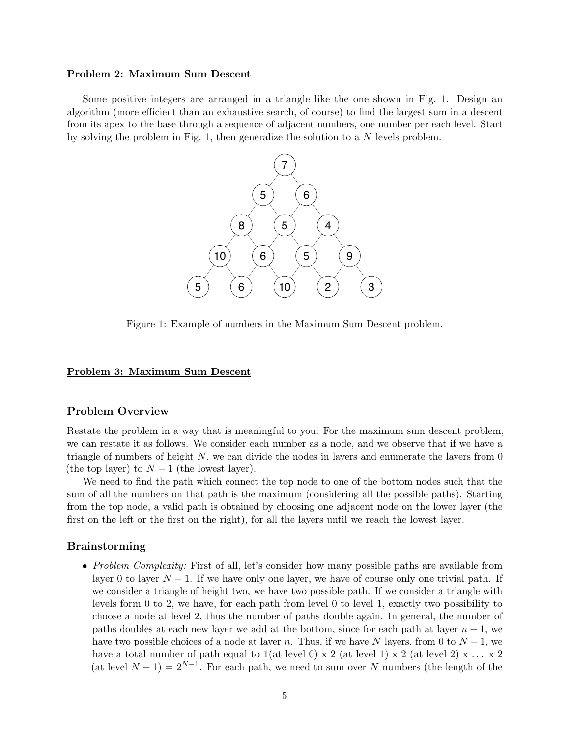#### Problem 2: Maximum Sum Descent

<span id="page-4-0"></span>Some positive integers are arranged in a triangle like the one shown in Fig. [1.](#page-4-0) Design an algorithm (more efficient than an exhaustive search, of course) to find the largest sum in a descent from its apex to the base through a sequence of adjacent numbers, one number per each level. Start by solving the problem in Fig.  $1$ , then generalize the solution to a  $N$  levels problem.



Figure 1: Example of numbers in the Maximum Sum Descent problem.

#### Problem 3: Maximum Sum Descent

#### Problem Overview

Restate the problem in a way that is meaningful to you. For the maximum sum descent problem, we can restate it as follows. We consider each number as a node, and we observe that if we have a triangle of numbers of height  $N$ , we can divide the nodes in layers and enumerate the layers from 0 (the top layer) to  $N-1$  (the lowest layer).

We need to find the path which connect the top node to one of the bottom nodes such that the sum of all the numbers on that path is the maximum (considering all the possible paths). Starting from the top node, a valid path is obtained by choosing one adjacent node on the lower layer (the first on the left or the first on the right), for all the layers until we reach the lowest layer.

#### Brainstorming

• Problem Complexity: First of all, let's consider how many possible paths are available from layer 0 to layer  $N-1$ . If we have only one layer, we have of course only one trivial path. If we consider a triangle of height two, we have two possible path. If we consider a triangle with levels form 0 to 2, we have, for each path from level 0 to level 1, exactly two possibility to choose a node at level 2, thus the number of paths double again. In general, the number of paths doubles at each new layer we add at the bottom, since for each path at layer  $n-1$ , we have two possible choices of a node at layer n. Thus, if we have N layers, from 0 to  $N-1$ , we have a total number of path equal to  $1(at \text{ level } 0) \times 2(at \text{ level } 1) \times 2(at \text{ level } 2) \times ... \times 2$ (at level  $N-1$ ) =  $2^{N-1}$ . For each path, we need to sum over N numbers (the length of the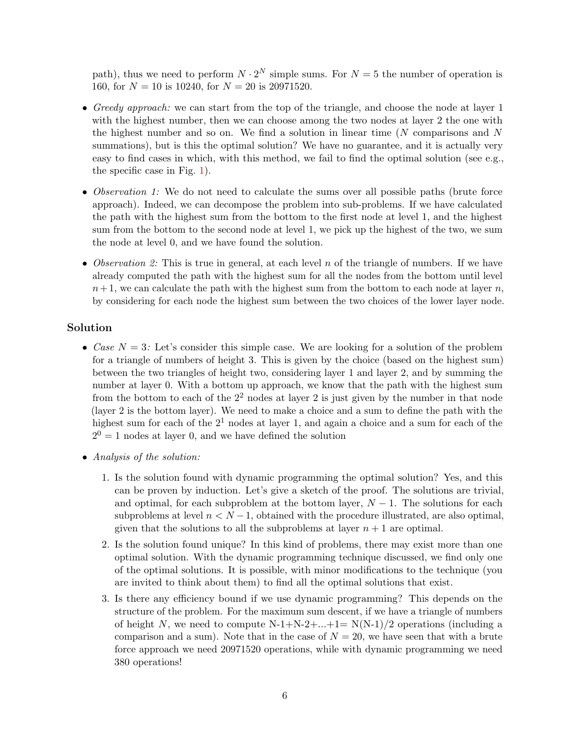path), thus we need to perform  $N \cdot 2^N$  simple sums. For  $N = 5$  the number of operation is 160, for  $N = 10$  is 10240, for  $N = 20$  is 20971520.

- Greedy approach: we can start from the top of the triangle, and choose the node at layer 1 with the highest number, then we can choose among the two nodes at layer 2 the one with the highest number and so on. We find a solution in linear time  $(N \text{ comparisons and } N)$ summations), but is this the optimal solution? We have no guarantee, and it is actually very easy to find cases in which, with this method, we fail to find the optimal solution (see e.g., the specific case in Fig. [1\)](#page-4-0).
- Observation 1: We do not need to calculate the sums over all possible paths (brute force approach). Indeed, we can decompose the problem into sub-problems. If we have calculated the path with the highest sum from the bottom to the first node at level 1, and the highest sum from the bottom to the second node at level 1, we pick up the highest of the two, we sum the node at level 0, and we have found the solution.
- Observation 2: This is true in general, at each level n of the triangle of numbers. If we have already computed the path with the highest sum for all the nodes from the bottom until level  $n+1$ , we can calculate the path with the highest sum from the bottom to each node at layer n, by considering for each node the highest sum between the two choices of the lower layer node.

### Solution

- Case  $N = 3$ : Let's consider this simple case. We are looking for a solution of the problem for a triangle of numbers of height 3. This is given by the choice (based on the highest sum) between the two triangles of height two, considering layer 1 and layer 2, and by summing the number at layer 0. With a bottom up approach, we know that the path with the highest sum from the bottom to each of the  $2<sup>2</sup>$  nodes at layer 2 is just given by the number in that node (layer 2 is the bottom layer). We need to make a choice and a sum to define the path with the highest sum for each of the  $2<sup>1</sup>$  nodes at layer 1, and again a choice and a sum for each of the  $2^{0} = 1$  nodes at layer 0, and we have defined the solution
- Analysis of the solution:
	- 1. Is the solution found with dynamic programming the optimal solution? Yes, and this can be proven by induction. Let's give a sketch of the proof. The solutions are trivial, and optimal, for each subproblem at the bottom layer,  $N-1$ . The solutions for each subproblems at level  $n < N-1$ , obtained with the procedure illustrated, are also optimal, given that the solutions to all the subproblems at layer  $n+1$  are optimal.
	- 2. Is the solution found unique? In this kind of problems, there may exist more than one optimal solution. With the dynamic programming technique discussed, we find only one of the optimal solutions. It is possible, with minor modifications to the technique (you are invited to think about them) to find all the optimal solutions that exist.
	- 3. Is there any efficiency bound if we use dynamic programming? This depends on the structure of the problem. For the maximum sum descent, if we have a triangle of numbers of height N, we need to compute  $N-1+N-2+...+1=N(N-1)/2$  operations (including a comparison and a sum). Note that in the case of  $N = 20$ , we have seen that with a brute force approach we need 20971520 operations, while with dynamic programming we need 380 operations!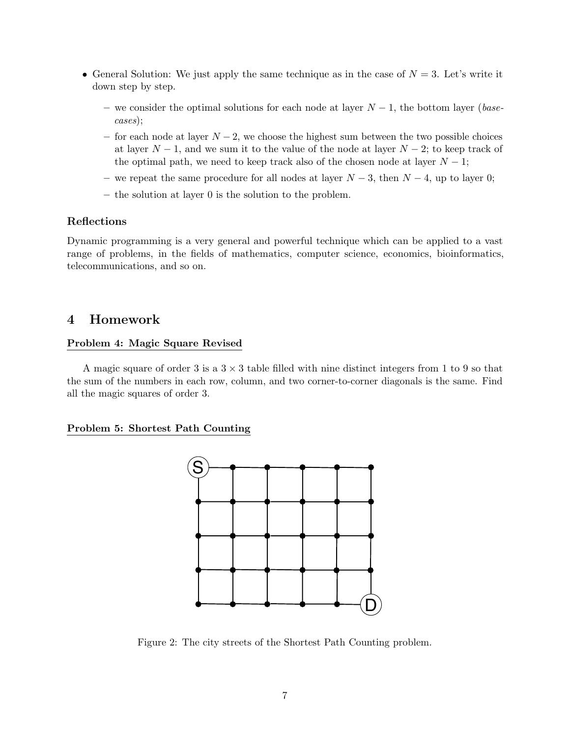- General Solution: We just apply the same technique as in the case of  $N = 3$ . Let's write it down step by step.
	- we consider the optimal solutions for each node at layer  $N-1$ , the bottom layer (basecases);
	- for each node at layer  $N-2$ , we choose the highest sum between the two possible choices at layer  $N-1$ , and we sum it to the value of the node at layer  $N-2$ ; to keep track of the optimal path, we need to keep track also of the chosen node at layer  $N-1$ ;
	- we repeat the same procedure for all nodes at layer  $N-3$ , then  $N-4$ , up to layer 0;
	- the solution at layer 0 is the solution to the problem.

### Reflections

Dynamic programming is a very general and powerful technique which can be applied to a vast range of problems, in the fields of mathematics, computer science, economics, bioinformatics, telecommunications, and so on.

## 4 Homework

### Problem 4: Magic Square Revised

A magic square of order 3 is a  $3 \times 3$  table filled with nine distinct integers from 1 to 9 so that the sum of the numbers in each row, column, and two corner-to-corner diagonals is the same. Find all the magic squares of order 3.

#### <span id="page-6-0"></span>Problem 5: Shortest Path Counting



Figure 2: The city streets of the Shortest Path Counting problem.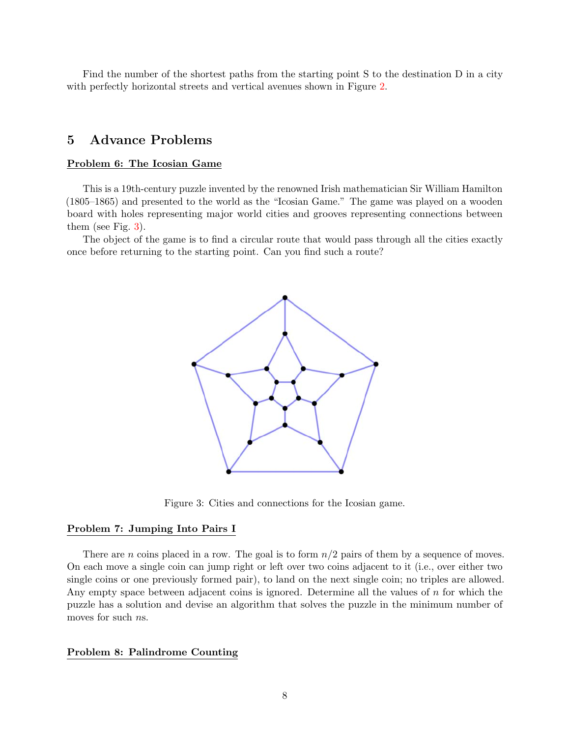Find the number of the shortest paths from the starting point S to the destination D in a city with perfectly horizontal streets and vertical avenues shown in Figure [2.](#page-6-0)

## 5 Advance Problems

### Problem 6: The Icosian Game

This is a 19th-century puzzle invented by the renowned Irish mathematician Sir William Hamilton (1805–1865) and presented to the world as the "Icosian Game." The game was played on a wooden board with holes representing major world cities and grooves representing connections between them (see Fig. [3\)](#page-7-0).

<span id="page-7-0"></span>The object of the game is to find a circular route that would pass through all the cities exactly once before returning to the starting point. Can you find such a route?



Figure 3: Cities and connections for the Icosian game.

#### Problem 7: Jumping Into Pairs I

There are n coins placed in a row. The goal is to form  $n/2$  pairs of them by a sequence of moves. On each move a single coin can jump right or left over two coins adjacent to it (i.e., over either two single coins or one previously formed pair), to land on the next single coin; no triples are allowed. Any empty space between adjacent coins is ignored. Determine all the values of  $n$  for which the puzzle has a solution and devise an algorithm that solves the puzzle in the minimum number of moves for such *ns*.

#### Problem 8: Palindrome Counting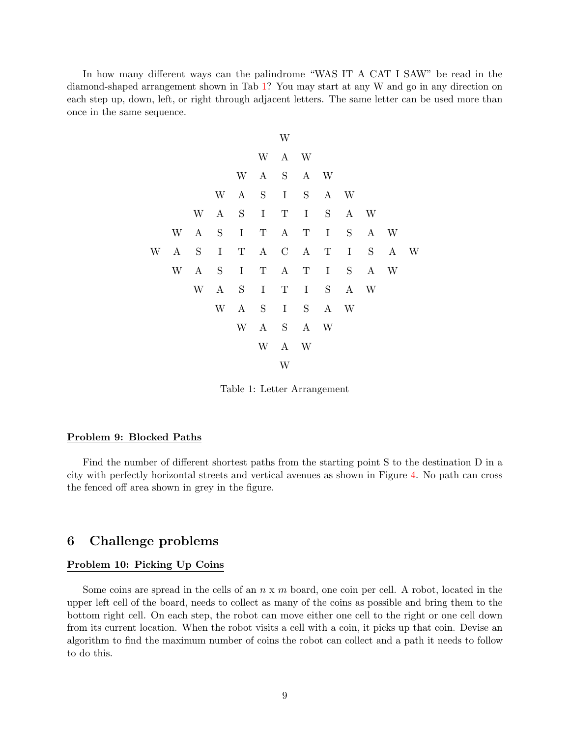<span id="page-8-0"></span>In how many different ways can the palindrome "WAS IT A CAT I SAW" be read in the diamond-shaped arrangement shown in Tab [1?](#page-8-0) You may start at any W and go in any direction on each step up, down, left, or right through adjacent letters. The same letter can be used more than once in the same sequence.

|   |          |           |             |             |             | W           |             |             |             |     |     |   |
|---|----------|-----------|-------------|-------------|-------------|-------------|-------------|-------------|-------------|-----|-----|---|
|   |          |           |             |             | W           |             | A W         |             |             |     |     |   |
|   |          |           |             | W           | $\bf{A}$    | $\mathbf S$ |             | A W         |             |     |     |   |
|   |          |           | W           | $\bf{A}$    | S           | $\;$ I      | $\mathbf S$ |             | A W         |     |     |   |
|   |          | W         | $\bf{A}$    | $\mathbf S$ | $\mathbf I$ | $\mathbf T$ | $\bf{I}$    | $\mathbf S$ |             | A W |     |   |
|   | W        | $\bf{A}$  | $\mathbf S$ | $\mathbf I$ | $\mathbf T$ | A           | $\mathbf T$ | $\mathbf I$ | S           |     | A W |   |
| W | $\bf{A}$ | ${\bf S}$ | $\rm I$     | $\mathbf T$ | A           |             | $C$ A       | T           | $\mathbf I$ | S   | A   | W |
|   | W        | $\bf{A}$  | S           | $\mathbf I$ | $\mathbf T$ |             | A T         | I           | S           |     | A W |   |
|   |          | W         | $\bf{A}$    | S           | I           | $\mathbf T$ | I           | S           |             | A W |     |   |
|   |          |           | W           | $\bf{A}$    | S           | I           | S           |             | A W         |     |     |   |
|   |          |           |             | W           | $\bf{A}$    | S           |             | A W         |             |     |     |   |
|   |          |           |             |             | W           |             | A W         |             |             |     |     |   |
|   |          |           |             |             |             | W           |             |             |             |     |     |   |

Table 1: Letter Arrangement

#### Problem 9: Blocked Paths

Find the number of different shortest paths from the starting point S to the destination D in a city with perfectly horizontal streets and vertical avenues as shown in Figure [4.](#page-9-0) No path can cross the fenced off area shown in grey in the figure.

### 6 Challenge problems

#### Problem 10: Picking Up Coins

Some coins are spread in the cells of an  $n \times m$  board, one coin per cell. A robot, located in the upper left cell of the board, needs to collect as many of the coins as possible and bring them to the bottom right cell. On each step, the robot can move either one cell to the right or one cell down from its current location. When the robot visits a cell with a coin, it picks up that coin. Devise an algorithm to find the maximum number of coins the robot can collect and a path it needs to follow to do this.